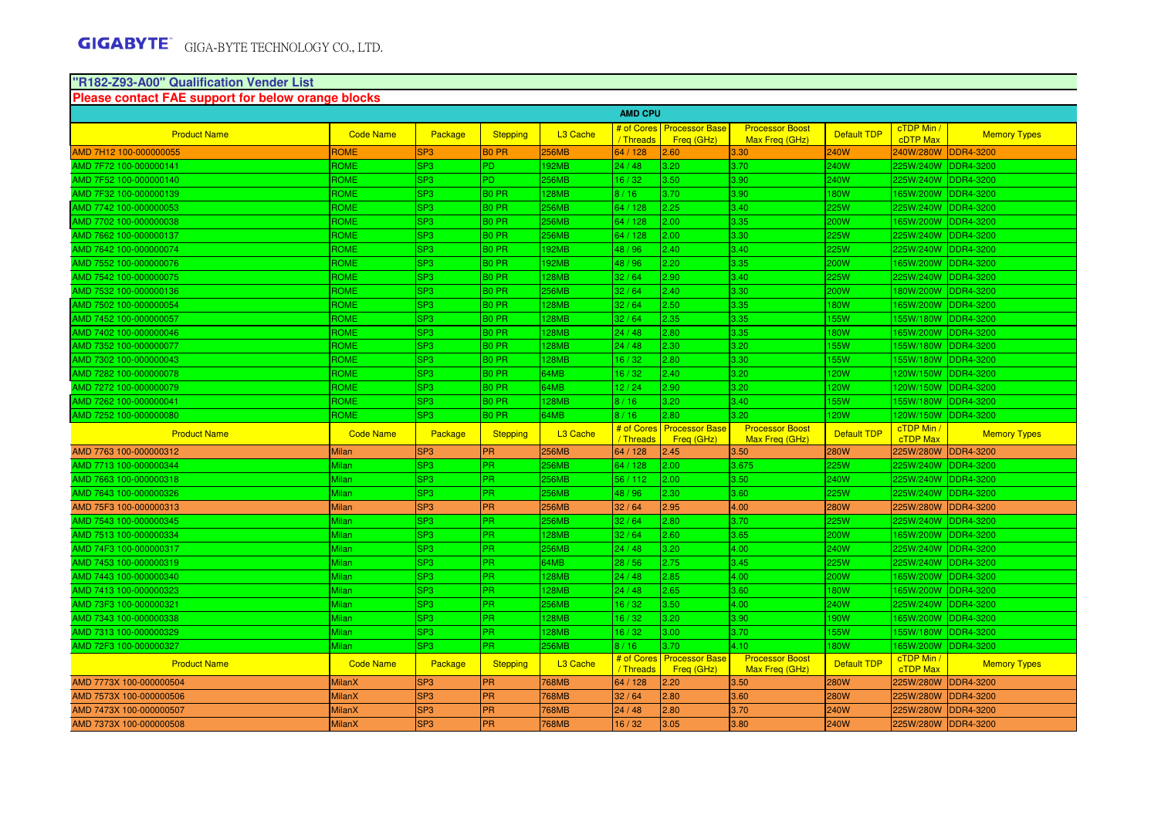#### **"R182-Z93-A00" Qualification Vender List**

| Please contact FAE support for below orange blocks |                  |                 |                   |                      |                |                                           |                                          |                    |                               |                     |
|----------------------------------------------------|------------------|-----------------|-------------------|----------------------|----------------|-------------------------------------------|------------------------------------------|--------------------|-------------------------------|---------------------|
|                                                    |                  |                 |                   |                      | <b>AMD CPU</b> |                                           |                                          |                    |                               |                     |
| <b>Product Name</b>                                | <b>Code Name</b> | Package         | <b>Stepping</b>   | L <sub>3</sub> Cache | / Threads      | # of Cores   Processor Base<br>Freg (GHz) | <b>Processor Boost</b><br>Max Freg (GHz) | <b>Default TDP</b> | cTDP Min /<br><b>cDTP Max</b> | <b>Memory Types</b> |
| AMD 7H12 100-000000055                             | ROME             | SP <sub>3</sub> | <b>BO PR</b>      | <b>256MB</b>         | 64 / 128       | 2.60                                      | 3.30                                     | 240W               | 240W/280W                     | <b>DDR4-3200</b>    |
| AMD 7F72 100-000000141                             | <b>ROME</b>      | SP <sub>3</sub> | PD.               | 192MB                | 24/48          | 3.20                                      | 3.70                                     | 240W               | 225W/240W                     | DDR4-3200           |
| AMD 7F52 100-000000140                             | <b>ROME</b>      | SP <sub>3</sub> | PD.               | 256MB                | 16/32          | 3.50                                      | 3.90                                     | 240W               | 225W/240W                     | <b>DDR4-3200</b>    |
| AMD 7F32 100-000000139                             | ROME             | SP3             | B0 PR             | <b>28MB</b>          | 8/16           | 3.70                                      | 3.90                                     | <b>80W</b>         | 165W/200W                     | <b>DDR4-3200</b>    |
| AMD 7742 100-000000053                             | <b>ROME</b>      | SP <sub>3</sub> | B <sub>0</sub> PR | 256MB                | 64 / 128       | 2.25                                      | 3.40                                     | 25W                | 225W/240W                     | DDR4-3200           |
| AMD 7702 100-000000038                             | ROME             | SP3             | B0 PR             | 256MB                | 64 / 128       | 2.00                                      | 3.35                                     | 200W               | 165W/200W                     | DDR4-3200           |
| AMD 7662 100-000000137                             | ROME             | SP3             | B <sub>0</sub> PR | 256MB                | 64 / 128       | 2.00                                      | 3.30                                     | 25W                | 225W/240W                     | <b>DDR4-3200</b>    |
| AMD 7642 100-000000074                             | ROME             | SP3             | B <sub>0</sub> PR | 92MB                 | 48 / 96        | 2.40                                      | 3.40                                     | 25W                | 225W/240W                     | <b>DDR4-3200</b>    |
| AMD 7552 100-000000076                             | <b>ROME</b>      | SP3             | B <sub>0</sub> PR | 92MB                 | 48 / 96        | 2.20                                      | 3.35                                     | 200W               | 165W/200W                     | DDR4-3200           |
| AMD 7542 100-000000075                             | <b>ROME</b>      | SP <sub>3</sub> | B <sub>0</sub> PR | 128MB                | 32/64          | 2.90                                      | 3.40                                     | 225W               | 225W/240W                     | <b>DDR4-3200</b>    |
| AMD 7532 100-000000136                             | ROME             | SP3             | B <sub>0</sub> PR | 256MB                | 32/64          | 2.40                                      | 3.30                                     | 200W               | 180W/200W                     | DDR4-3200           |
| AMD 7502 100-000000054                             | ROME             | SP3             | B <sub>0</sub> PR | <b>28MB</b>          | 32/64          | 2.50                                      | 3.35                                     | <b>80W</b>         | 165W/200W                     | <b>DDR4-3200</b>    |
| AMD 7452 100-000000057                             | <b>ROME</b>      | SP3             | B <sub>0</sub> PR | <b>28MB</b>          | 32/64          | 2.35                                      | 3.35                                     | <b>55W</b>         | 155W/180W                     | <b>DDR4-3200</b>    |
| AMD 7402 100-000000046                             | ROME             | SP3             | B <sub>0</sub> PR | <b>28MB</b>          | 24/48          | 2.80                                      | 3.35                                     | <b>80W</b>         | 165W/200W                     | <b>DDR4-3200</b>    |
| AMD 7352 100-000000077                             | ROME             | SP3             | B <sub>0</sub> PR | <b>28MB</b>          | 24/48          | 2.30                                      | 3.20                                     | <b>55W</b>         | 155W/180W                     | <b>DDR4-3200</b>    |
| MD 7302 100-000000043                              | ROME             | SP <sub>3</sub> | B <sub>0</sub> PR | <b>28MB</b>          | 16/32          | 2.80                                      | 3.30                                     | 55W                | 155W/180W                     | <b>DDR4-3200</b>    |
| AMD 7282 100-000000078                             | ROME             | SP3             | B <sub>0</sub> PR | 64MB                 | 16/32          | 2.40                                      | 3.20                                     | <b>20W</b>         | 120W/150W DDR4-3200           |                     |
| AMD 7272 100-000000079                             | <b>ROME</b>      | SP <sub>3</sub> | B <sub>0</sub> PR | 64MB                 | 12/24          | 2.90                                      | 3.20                                     | <b>20W</b>         | 120W/150W DDR4-3200           |                     |
| AMD 7262 100-000000041                             | ROME             | SP <sub>3</sub> | B <sub>0</sub> PR | 128MB                | 8/16           | 3.20                                      | 3.40                                     | <b>155W</b>        | 155W/180W                     | DDR4-3200           |
| AMD 7252 100-000000080                             | ROME             | SP <sub>3</sub> | B <sub>0</sub> PR | 64MB                 | 8/16           | 2.80                                      | 3.20                                     | <b>20W</b>         | 120W/150W                     | <b>DDR4-3200</b>    |
|                                                    |                  |                 |                   |                      |                |                                           |                                          |                    |                               |                     |
| <b>Product Name</b>                                | <b>Code Name</b> | Package         | <b>Stepping</b>   | L <sub>3</sub> Cache | / Threads      | # of Cores   Processor Base<br>Freq (GHz) | <b>Processor Boost</b><br>Max Freg (GHz) | <b>Default TDP</b> | cTDP Min /<br><b>cTDP Max</b> | <b>Memory Types</b> |
| AMD 7763 100-000000312                             | <b>Milan</b>     | SP <sub>3</sub> | PR                | <b>256MB</b>         | 64 / 128       | 2.45                                      | 3.50                                     | 280W               | 225W/280W                     | <b>DDR4-3200</b>    |
| AMD 7713 100-000000344                             | Milan            | SP3             | <b>PR</b>         | 256MB                | 64 / 128       | 2.00                                      | 3.675                                    | 225W               | 225W/240W                     | <b>DDR4-3200</b>    |
| AMD 7663 100-000000318                             | Milan            | SP <sub>3</sub> | <b>PR</b>         | 256MB                | 56 / 112       | 2.00                                      | 3.50                                     | 240W               | 225W/240W                     | <b>DDR4-3200</b>    |
| AMD 7643 100-000000326                             | Milan            | SP3             | PR.               | 256MB                | 48 / 96        | 2.30                                      | 3.60                                     | 25W                | 225W/240W                     | DDR4-3200           |
| AMD 75F3 100-000000313                             | <b>Milan</b>     | SP <sub>3</sub> | <b>PR</b>         | <b>256MB</b>         | 32/64          | 2.95                                      | 4.00                                     | 280W               | 225W/280W                     | <b>DDR4-3200</b>    |
| AMD 7543 100-000000345                             | Milan            | SP <sub>3</sub> | PR                | 256MB                | 32/64          | 2.80                                      | 3.70                                     | 225W               | 225W/240W                     | <b>DDR4-3200</b>    |
| AMD 7513 100-000000334                             | Milan            | SP <sub>3</sub> | <b>PR</b>         | <b>28MB</b>          | 32/64          | 2.60                                      | 3.65                                     | 200W               | 165W/200W                     | <b>DDR4-3200</b>    |
| AMD 74F3 100-000000317                             | Milan            | SP3             | PR                | 256MB                | 24/48          | 3.20                                      | 4.00                                     | 240W               | 225W/240W                     | <b>DDR4-3200</b>    |
| AMD 7453 100-000000319                             | Milan            | SP3             | <b>PR</b>         | 64MB                 | 28/56          | 2.75                                      | 3.45                                     | 25W                | 225W/240W DDR4-3200           |                     |
| AMD 7443 100-000000340                             | Milan            | SP <sub>3</sub> | <b>PR</b>         | 128MB                | 24/48          | 2.85                                      | 4.00                                     | 200W               | 165W/200W                     | DDR4-3200           |
| AMD 7413 100-000000323                             | Milan            | SP3             | <b>PR</b>         | <b>28MB</b>          | 24/48          | 2.65                                      | 3.60                                     | <b>80W</b>         | 165W/200W                     | <b>DDR4-3200</b>    |
| AMD 73F3 100-000000321                             | Milan            | SP3             | PR                | 256MB                | 16/32          | 3.50                                      | 4.00                                     | 240W               | 225W/240W                     | <b>DDR4-3200</b>    |
| AMD 7343 100-000000338                             | Milan            | SP3             | <b>PR</b>         | <b>28MB</b>          | 16/32          | 3.20                                      | 3.90                                     | 190W               | 165W/200W                     | <b>DDR4-3200</b>    |
| AMD 7313 100-000000329                             | Milan            | SP3             | PR                | <b>28MB</b>          | 16/32          | 3.00                                      | 3.70                                     | 155W               | 155W/180W                     | <b>DDR4-3200</b>    |
| AMD 72F3 100-000000327                             | Milan            | SP <sub>3</sub> | PR.               | 256MB                | 8/16           | 3.70                                      | 4.10                                     | <b>80W</b>         | 165W/200W                     | <b>DDR4-3200</b>    |
| <b>Product Name</b>                                | <b>Code Name</b> | Package         | <b>Stepping</b>   | L <sub>3</sub> Cache | / Threads      | # of Cores Processor Base<br>Freg (GHz)   | <b>Processor Boost</b><br>Max Freq (GHz) | <b>Default TDP</b> | cTDP Min /<br>cTDP Max        | <b>Memory Types</b> |
| AMD 7773X 100-000000504                            | <b>MilanX</b>    | SP <sub>3</sub> | PR                | <b>768MB</b>         | 64 / 128       | 2.20                                      | 3.50                                     | 280W               | 225W/280W                     | <b>DDR4-3200</b>    |
| AMD 7573X 100-000000506                            | <b>MilanX</b>    | SP <sub>3</sub> | <b>PR</b>         | <b>768MB</b>         | 32/64          | 2.80                                      | 3.60                                     | 280W               | 225W/280W                     | DDR4-3200           |
| AMD 7473X 100-000000507                            | <b>MilanX</b>    | SP <sub>3</sub> | <b>PR</b>         | <b>768MB</b>         | 24/48          | 2.80                                      | 3.70                                     | 240W               | 225W/280W                     | <b>DDR4-3200</b>    |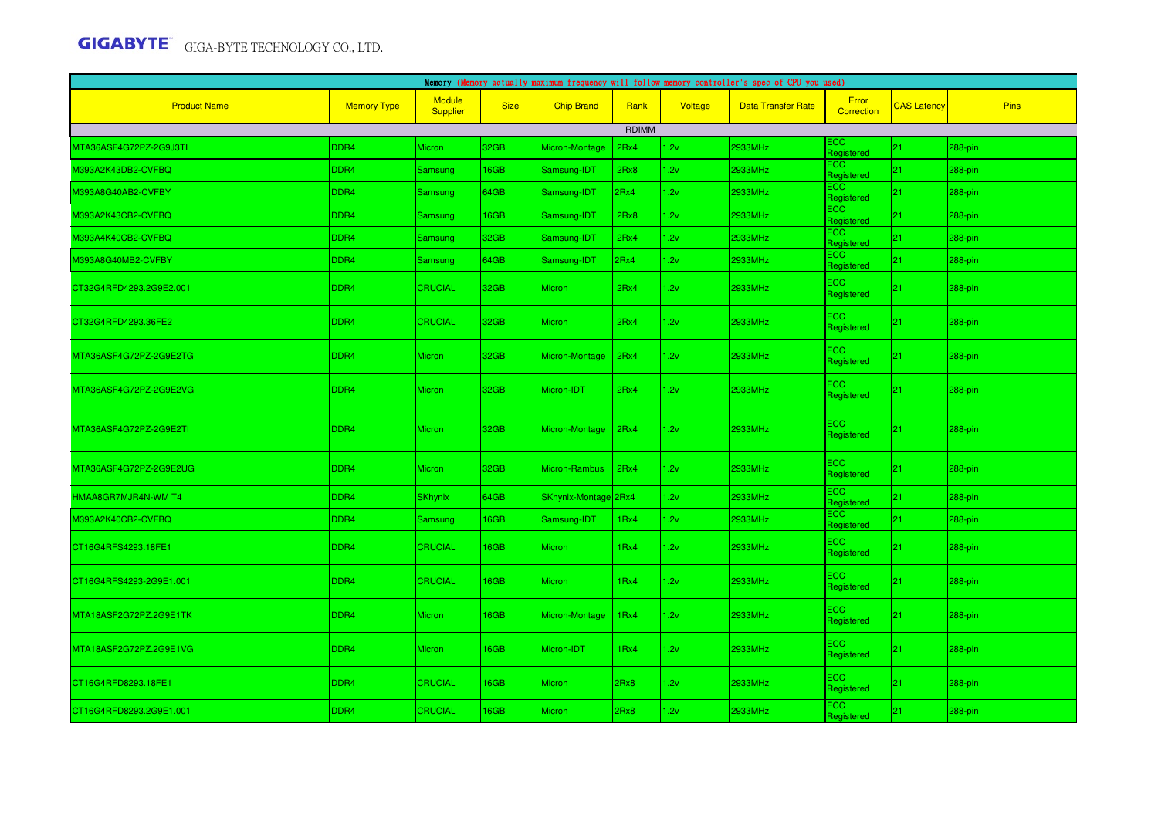|                         | Memory (Memory actually maximum frequency will follow memory controller's spec of CPU you used) |                                  |             |                      |       |         |                           |                          |                    |             |  |  |
|-------------------------|-------------------------------------------------------------------------------------------------|----------------------------------|-------------|----------------------|-------|---------|---------------------------|--------------------------|--------------------|-------------|--|--|
| <b>Product Name</b>     | <b>Memory Type</b>                                                                              | <b>Module</b><br><b>Supplier</b> | <b>Size</b> | <b>Chip Brand</b>    | Rank  | Voltage | <b>Data Transfer Rate</b> | Error<br>Correction      | <b>CAS Latency</b> | <b>Pins</b> |  |  |
|                         |                                                                                                 |                                  |             |                      | RDIMM |         |                           |                          |                    |             |  |  |
| MTA36ASF4G72PZ-2G9J3TI  | DDR4                                                                                            | <b>Micron</b>                    | 32GB        | Micron-Montage       | 2Rx4  | 1.2v    | 2933MHz                   | ECC.<br>Registered       | $ 21\rangle$       | 288-pin     |  |  |
| //1393A2K43DB2-CVFBQ    | DDR4                                                                                            | Samsung                          | 16GB        | Samsung-IDT          | 2Rx8  | 1.2v    | 2933MHz                   | <b>ECC</b><br>Registered | 21                 | 288-pin     |  |  |
| 0393A8G40AB2-CVFBY      | DDR4                                                                                            | Samsung                          | 64GB        | Samsung-IDT          | 2Rx4  | 1.2v    | 2933MHz                   | <b>ECC</b><br>Registered | 21                 | $288$ -pin  |  |  |
| 0393A2K43CB2-CVFBQ      | DDR4                                                                                            | Samsung                          | 16GB        | Samsung-IDT          | 2Rx8  | 1.2v    | 2933MHz                   | <b>ECC</b><br>Registered | 21                 | 288-pin     |  |  |
| V393A4K40CB2-CVFBQ      | DDR4                                                                                            | Samsung                          | 32GB        | Samsung-IDT          | 2Rx4  | 1.2v    | 2933MHz                   | ECC<br>Registered        | 21                 | 288-pin     |  |  |
| 1393A8G40MB2-CVFBY      | DDR4                                                                                            | Samsung                          | 64GB        | Samsung-IDT          | 2Rx4  | 1.2v    | 2933MHz                   | ECC.<br>Registered       | 21                 | 288-pin     |  |  |
| CT32G4RFD4293.2G9E2.001 | DDR4                                                                                            | <b>CRUCIAL</b>                   | 32GB        | Micron               | 2Rx4  | 1.2v    | 2933MHz                   | ECC<br>Registered        | 21                 | 288-pin     |  |  |
| CT32G4RFD4293.36FE2     | DDR <sub>4</sub>                                                                                | <b>CRUCIAL</b>                   | 32GB        | <b>Micron</b>        | 2Rx4  | 1.2v    | 2933MHz                   | ECC.<br>Registered       | $ 21\rangle$       | $288$ -pin  |  |  |
| MTA36ASF4G72PZ-2G9E2TG  | DDR4                                                                                            | <b>Micron</b>                    | 32GB        | Micron-Montage       | 2Rx4  | 1.2v    | 2933MHz                   | ECC<br>Registered        | $ 21\rangle$       | 288-pin     |  |  |
| VITA36ASF4G72PZ-2G9E2VG | DDR4                                                                                            | <b>Micron</b>                    | 32GB        | Micron-IDT           | 2Rx4  | 1.2v    | 2933MHz                   | ECC<br>Registered        | 21                 | 288-pin     |  |  |
| MTA36ASF4G72PZ-2G9E2TI  | DDR4                                                                                            | <b>Micron</b>                    | 32GB        | Micron-Montage       | 2Rx4  | 1.2v    | 2933MHz                   | ECC<br>Registered        | 21                 | 288-pin     |  |  |
| MTA36ASF4G72PZ-2G9E2UG  | DDR4                                                                                            | <b>Micron</b>                    | 32GB        | Micron-Rambus        | 2Rx4  | 1.2v    | 2933MHz                   | ECC<br>Registered        | 21                 | 288-pin     |  |  |
| HMAA8GR7MJR4N-WM T4     | DDR4                                                                                            | <b>SKhynix</b>                   | 64GB        | SKhynix-Montage 2Rx4 |       | 1.2v    | 2933MHz                   | ECC.<br>Registered       | 21                 | 288-pin     |  |  |
| M393A2K40CB2-CVFBQ      | DDR4                                                                                            | Samsung                          | 16GB        | Samsung-IDT          | 1Rx4  | 1.2v    | 2933MHz                   | <b>ECC</b><br>Registered | 21                 | 288-pin     |  |  |
| CT16G4RFS4293.18FE1     | DDR4                                                                                            | <b>CRUCIAL</b>                   | 16GB        | Micron               | 1Rx4  | 1.2v    | 2933MHz                   | ECC<br>Registered        | $ 21\rangle$       | 288-pin     |  |  |
| CT16G4RFS4293-2G9E1.001 | DDR4                                                                                            | <b>CRUCIAL</b>                   | 16GB        | Micron               | 1Rx4  | 1.2v    | 2933MHz                   | ECC<br>Registered        | 21                 | 288-pin     |  |  |
| MTA18ASF2G72PZ.2G9E1TK  | DDR4                                                                                            | <b>Micron</b>                    | 16GB        | Micron-Montage       | 1Rx4  | 1.2v    | 2933MHz                   | ECC.<br>Registered       | 21                 | 288-pin     |  |  |
| MTA18ASF2G72PZ.2G9E1VG  | DDR4                                                                                            | <b>Micron</b>                    | 16GB        | Micron-IDT           | 1Rx4  | 1.2v    | 2933MHz                   | ECC<br>Registered        | $ 21\rangle$       | 288-pin     |  |  |
| CT16G4RFD8293.18FE1     | DDR <sub>4</sub>                                                                                | <b>CRUCIAL</b>                   | 16GB        | <b>Micron</b>        | 2Rx8  | 1.2v    | 2933MHz                   | ECC.<br>Registered       | $ 21\rangle$       | 288-pin     |  |  |
| CT16G4RFD8293.2G9E1.001 | DDR4                                                                                            | <b>CRUCIAL</b>                   | 16GB        | <b>Micron</b>        | 2Rx8  | 1.2v    | 2933MHz                   | ECC.<br>Registered       | 21                 | 288-pin     |  |  |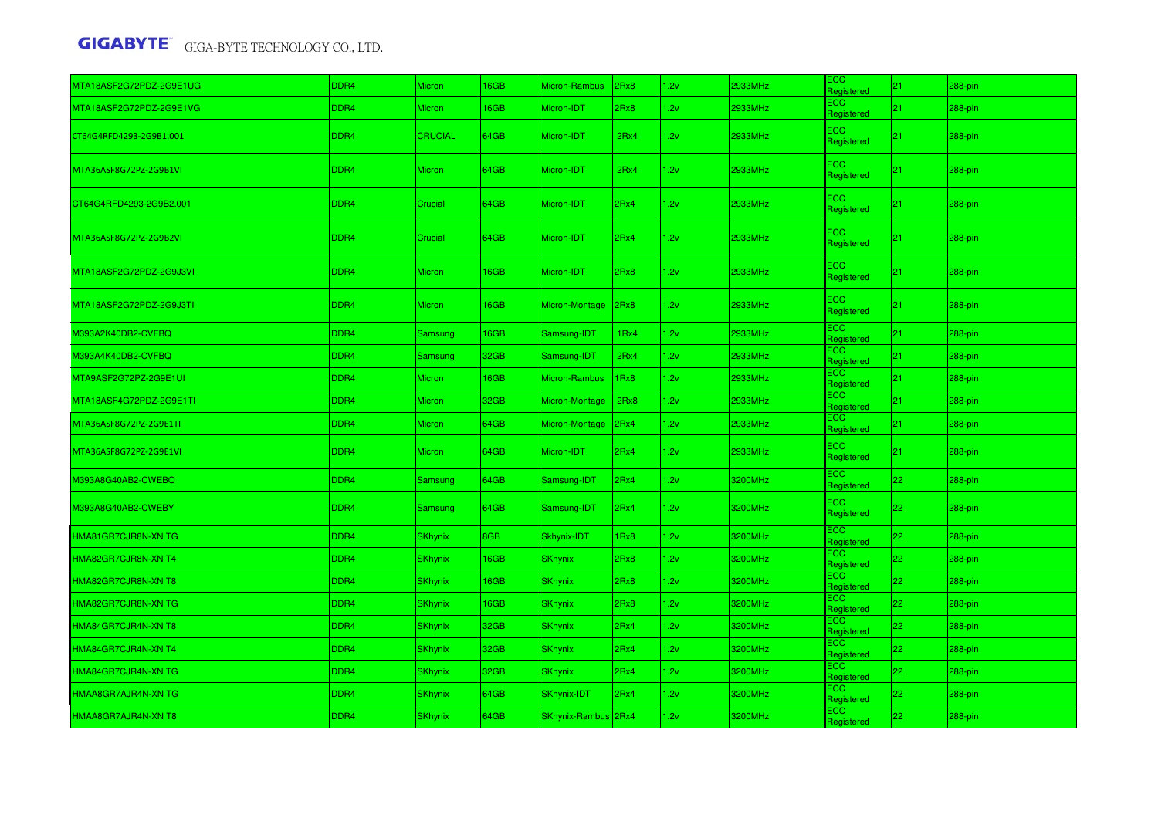| MTA18ASF2G72PDZ-2G9E1UG | DDR4 | <b>Micron</b>  | 16GB | Micron-Rambus       | 2Rx8             | 1.2v | 2933MHz | ECC<br>Registered        | 21           | 288-pin    |
|-------------------------|------|----------------|------|---------------------|------------------|------|---------|--------------------------|--------------|------------|
| MTA18ASF2G72PDZ-2G9E1VG | DDR4 | <b>Micron</b>  | 16GB | Micron-IDT          | 2Rx8             | 1.2v | 2933MHz | <b>ECC</b><br>Registered | 21           | 288-pin    |
| CT64G4RFD4293-2G9B1.001 | DDR4 | <b>CRUCIAL</b> | 64GB | Micron-IDT          | 2Rx4             | 1.2v | 2933MHz | <b>ECC</b><br>Registered | 21           | 288-pin    |
| MTA36ASF8G72PZ-2G9B1VI  | DDR4 | <b>Micron</b>  | 64GB | Micron-IDT          | 2Rx4             | 1.2v | 2933MHz | ECC<br>Registered        | 21           | 288-pin    |
| CT64G4RFD4293-2G9B2.001 | DDR4 | Crucial        | 64GB | Micron-IDT          | 2Rx4             | 1.2v | 2933MHz | ECC<br>Registered        | $ 21\rangle$ | 288-pin    |
| MTA36ASF8G72PZ-2G9B2VI  | DDR4 | Crucial        | 64GB | Micron-IDT          | 2Rx4             | 1.2v | 2933MHz | ECC<br>Registered        | $ 21\rangle$ | 288-pin    |
| MTA18ASF2G72PDZ-2G9J3VI | DDR4 | <b>Micron</b>  | 16GB | Micron-IDT          | 2Rx8             | 1.2v | 2933MHz | ECC.<br>Registered       | $ 21\rangle$ | 288-pin    |
| MTA18ASF2G72PDZ-2G9J3TI | DDR4 | <b>Micron</b>  | 16GB | Micron-Montage      | 2Rx8             | 1.2v | 2933MHz | <b>ECC</b><br>Registered | 21           | 288-pin    |
| M393A2K40DB2-CVFBQ      | DDR4 | Samsung        | 16GB | Samsung-IDT         | 1 <sub>Rx4</sub> | 1.2v | 2933MHz | <b>ECC</b><br>Registered | 21           | 288-pin    |
| V393A4K40DB2-CVFBQ      | DDR4 | Samsung        | 32GB | Samsung-IDT         | 2Rx4             | 1.2v | 2933MHz | ECC<br>Registered        | 21           | 288-pin    |
| MTA9ASF2G72PZ-2G9E1UI   | DDR4 | Micron         | 16GB | Micron-Rambus       | 1Rx8             | 1.2v | 2933MHz | ECC<br>Registered        | 21           | 288-pin    |
| MTA18ASF4G72PDZ-2G9E1TI | DDR4 | <b>Micron</b>  | 32GB | Micron-Montage      | 2Rx8             | 1.2v | 2933MHz | <b>ECC</b><br>Registered | 21           | $288$ -pin |
| MTA36ASF8G72PZ-2G9E1TI  | DDR4 | <b>Micron</b>  | 64GB | Micron-Montage      | 2Rx4             | 1.2v | 2933MHz | <b>ECC</b><br>Registered | 21           | $288-pin$  |
| MTA36ASF8G72PZ-2G9E1VI  | DDR4 | <b>Micron</b>  | 64GB | Micron-IDT          | 2Rx4             | 1.2v | 2933MHz | <b>ECC</b><br>Registered | 21           | 288-pin    |
| M393A8G40AB2-CWEBQ      | DDR4 | <b>Samsung</b> | 64GB | Samsung-IDT         | 2Rx4             | 1.2v | 3200MHz | <b>ECC</b><br>Registered | 22           | $288-pin$  |
| M393A8G40AB2-CWEBY      | DDR4 | Samsung        | 64GB | Samsung-IDT         | 2Rx4             | 1.2v | 3200MHz | <b>ECC</b><br>Registered | $ 22\rangle$ | $288$ -pin |
| HMA81GR7CJR8N-XN TG     | DDR4 | <b>SKhynix</b> | 8GB  | Skhynix-IDT         | IRx8             | 1.2v | 3200MHz | ECC<br>Registered        | 22           | 288-pin    |
| HMA82GR7CJR8N-XN T4     | DDR4 | <b>SKhynix</b> | 16GB | <b>SKhynix</b>      | 2Rx8             | 1.2v | 3200MHz | <b>ECC</b><br>Registered | 22           | $288-pin$  |
| HMA82GR7CJR8N-XN T8     | DDR4 | <b>SKhynix</b> | 16GB | <b>SKhynix</b>      | 2Rx8             | 1.2v | 3200MHz | <b>ECC</b><br>Registered | 22           | $288-pin$  |
| HMA82GR7CJR8N-XN TG     | DDR4 | <b>SKhynix</b> | 16GB | <b>SKhynix</b>      | 2Rx8             | 1.2v | 3200MHz | <b>ECC</b><br>Registered | 22           | 288-pin    |
| HMA84GR7CJR4N-XN T8     | DDR4 | <b>SKhynix</b> | 32GB | <b>SKhynix</b>      | 2Rx4             | 1.2v | 3200MHz | <b>ECC</b><br>Registered | 22           | 288-pin    |
| HMA84GR7CJR4N-XN T4     | DDR4 | <b>SKhynix</b> | 32GB | <b>SKhynix</b>      | 2Rx4             | 1.2v | 3200MHz | ECC<br>Registered        | 22           | 288-pin    |
| HMA84GR7CJR4N-XN TG     | DDR4 | <b>SKhynix</b> | 32GB | <b>SKhynix</b>      | 2Rx4             | 1.2v | 3200MHz | ECC<br>Registered        | 22           | 288-pin    |
| HMAA8GR7AJR4N-XN TG     | DDR4 | <b>SKhynix</b> | 64GB | SKhynix-IDT         | 2Rx4             | 1.2v | 3200MHz | ECC.<br>Registered       | 22           | 288-pin    |
| HMAA8GR7AJR4N-XN T8     | DDR4 | <b>SKhynix</b> | 64GB | SKhynix-Rambus 2Rx4 |                  | 1.2v | 3200MHz | ECC<br>Registered        | 22           | 288-pin    |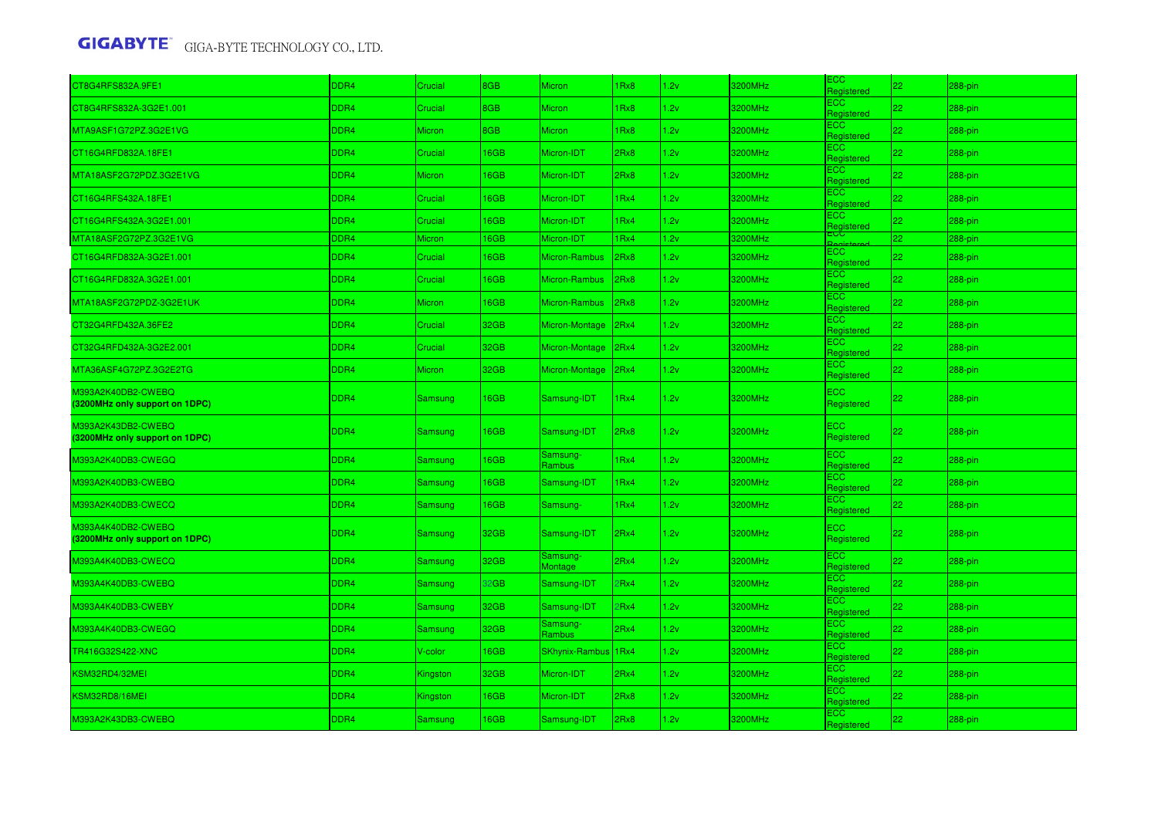| CT8G4RFS832A.9FE1                                    | DDR4 | Crucial       | <b>BGB</b> | <b>Micron</b>         | Rx8  | 1.2v | 3200MHz | ECC<br>Registered        | 22           | 288-pin    |
|------------------------------------------------------|------|---------------|------------|-----------------------|------|------|---------|--------------------------|--------------|------------|
| CT8G4RFS832A-3G2E1.001                               | DDR4 | Crucial       | 8GB        | <b>Micron</b>         | IRx8 | 1.2v | 3200MHz | <b>ECC</b><br>Registered | 22           | 288-pin    |
| MTA9ASF1G72PZ.3G2E1VG                                | DDR4 | Micron        | 8GB        | <b>Micron</b>         | IRx8 | 1.2v | 3200MHz | ECC.<br>Registered       | 22           | 288-pin    |
| CT16G4RFD832A.18FE1                                  | DDR4 | Crucial       | 16GB       | Micron-IDT            | 2Rx8 | 1.2v | 3200MHz | <b>ECC</b><br>Registered | 22           | 288-pin    |
| MTA18ASF2G72PDZ.3G2E1VG                              | DDR4 | <b>Micron</b> | 16GB       | Micron-IDT            | 2Rx8 | 1.2v | 3200MHz | <b>ECC</b><br>Registered | 22           | 288-pin    |
| CT16G4RFS432A.18FE1                                  | DDR4 | Crucial       | 16GB       | Micron-IDT            | IRx4 | 1.2v | 3200MHz | ECC<br>Registered        | 22           | 288-pin    |
| CT16G4RFS432A-3G2E1.001                              | DDR4 | Crucial       | 16GB       | Micron-IDT            | IRx4 | 1.2v | 3200MHz | ECC.<br>Registered       | 22           | 288-pin    |
| MTA18ASF2G72PZ.3G2E1VG                               | DDR4 | Micron        | 16GB       | Micron-IDT            | Rx4  | 1.2v | 3200MHz |                          | $ 22\rangle$ | 288-pin    |
| CT16G4RFD832A-3G2E1.001                              | DDR4 | Crucial       | 16GB       | Micron-Rambus         | 2Rx8 | 1.2v | 3200MHz | <b>ECC</b><br>Registered | 22           | 288-pin    |
| CT16G4RFD832A.3G2E1.001                              | DDR4 | Crucial       | 16GB       | Micron-Rambus         | 2Rx8 | 1.2v | 3200MHz | <b>ECC</b><br>Registered | 22           | 288-pin    |
| MTA18ASF2G72PDZ-3G2E1UK                              | DDR4 | <b>Micron</b> | 16GB       | Micron-Rambus         | 2Rx8 | 1.2v | 3200MHz | <b>ECC</b><br>Registered | 22           | 288-pin    |
| CT32G4RFD432A.36FE2                                  | DDR4 | Crucial       | 32GB       | Micron-Montage        | 2Rx4 | 1.2v | 3200MHz | <b>ECC</b><br>Registered | 22           | 288-pin    |
| CT32G4RFD432A-3G2E2.001                              | DDR4 | Crucial       | 32GB       | Micron-Montage        | 2Rx4 | 1.2v | 3200MHz | <b>ECC</b><br>Registered | 22           | $288$ -pin |
| MTA36ASF4G72PZ.3G2E2TG                               | DDR4 | <b>Micron</b> | 32GB       | Micron-Montage        | 2Rx4 | 1.2v | 3200MHz | ECC<br>Registered        | 22           | 288-pin    |
| 0393A2K40DB2-CWEBQ<br>(3200MHz only support on 1DPC) | DDR4 | Samsung       | 16GB       | Samsung-IDT           | IRx4 | 1.2v | 3200MHz | <b>ECC</b><br>Registered | 22           | $288$ -pin |
| M393A2K43DB2-CWEBQ<br>(3200MHz only support on 1DPC) | DDR4 | Samsung       | 16GB       | Samsung-IDT           | 2Rx8 | 1.2v | 3200MHz | ECC.<br>Registered       | $ 22\rangle$ | 288-pin    |
| M393A2K40DB3-CWEGQ                                   | DDR4 | Samsung       | 16GB       | Samsung-<br>Rambus    | IRx4 | 1.2v | 3200MHz | <b>ECC</b><br>Registered | 22           | 288-pin    |
| M393A2K40DB3-CWEBQ                                   | DDR4 | Samsung       | 16GB       | Samsung-IDT           | IRx4 | 1.2v | 3200MHz | <b>ECC</b><br>Registered | 22           | 288-pin    |
| M393A2K40DB3-CWECQ                                   | DDR4 | Samsung       | 16GB       | Samsung-              | IRx4 | 1.2v | 3200MHz | <b>ECC</b><br>Registered | 22           | 288-pin    |
| M393A4K40DB2-CWEBQ<br>(3200MHz only support on 1DPC) | DDR4 | Samsung       | 32GB       | Samsung-IDT           | 2Rx4 | 1.2v | 3200MHz | <b>ECC</b><br>Registered | $ 22\rangle$ | 288-pin    |
| M393A4K40DB3-CWECQ                                   | DDR4 | Samsung       | 32GB       | Samsung-<br>Montage   | 2Rx4 | 1.2v | 3200MHz | ECC<br>Registered        | 22           | 288-pin    |
| M393A4K40DB3-CWEBQ                                   | DDR4 | Samsung       | 32GB       | Samsung-IDT           | PRx4 | 1.2v | 3200MHz | <b>ECC</b><br>Registered | 22           | 288-pin    |
| M393A4K40DB3-CWEBY                                   | DDR4 | Samsung       | 32GB       | Samsung-IDT           | PRx4 | 1.2v | 3200MHz | ECC<br>Registered        | 22           | 288-pin    |
| M393A4K40DB3-CWEGQ                                   | DDR4 | Samsung       | 32GB       | Samsung-<br>Rambus    | 2Rx4 | 1.2v | 3200MHz | <b>ECC</b><br>Registered | 22           | 288-pin    |
| TR416G32S422-XNC                                     | DDR4 | V-color       | 16GB       | <b>SKhynix-Rambus</b> | 1Rx4 | 1.2v | 3200MHz | ECC.<br>Registered       | 22           | 288-pin    |
| KSM32RD4/32MEI                                       | DDR4 | Kingston      | 32GB       | Micron-IDT            | 2Rx4 | 1.2v | 3200MHz | ECC<br>Registered        | 22           | 288-pin    |
| KSM32RD8/16MEI                                       | DDR4 | Kingston      | 16GB       | Micron-IDT            | 2Rx8 | 1.2v | 3200MHz | ECC.<br>Registered       | 22           | 288-pin    |
| M393A2K43DB3-CWEBQ                                   | DDR4 | Samsung       | 16GB       | Samsung-IDT           | 2Rx8 | 1.2v | 3200MHz | ECC<br>Registered        | 22           | 288-pin    |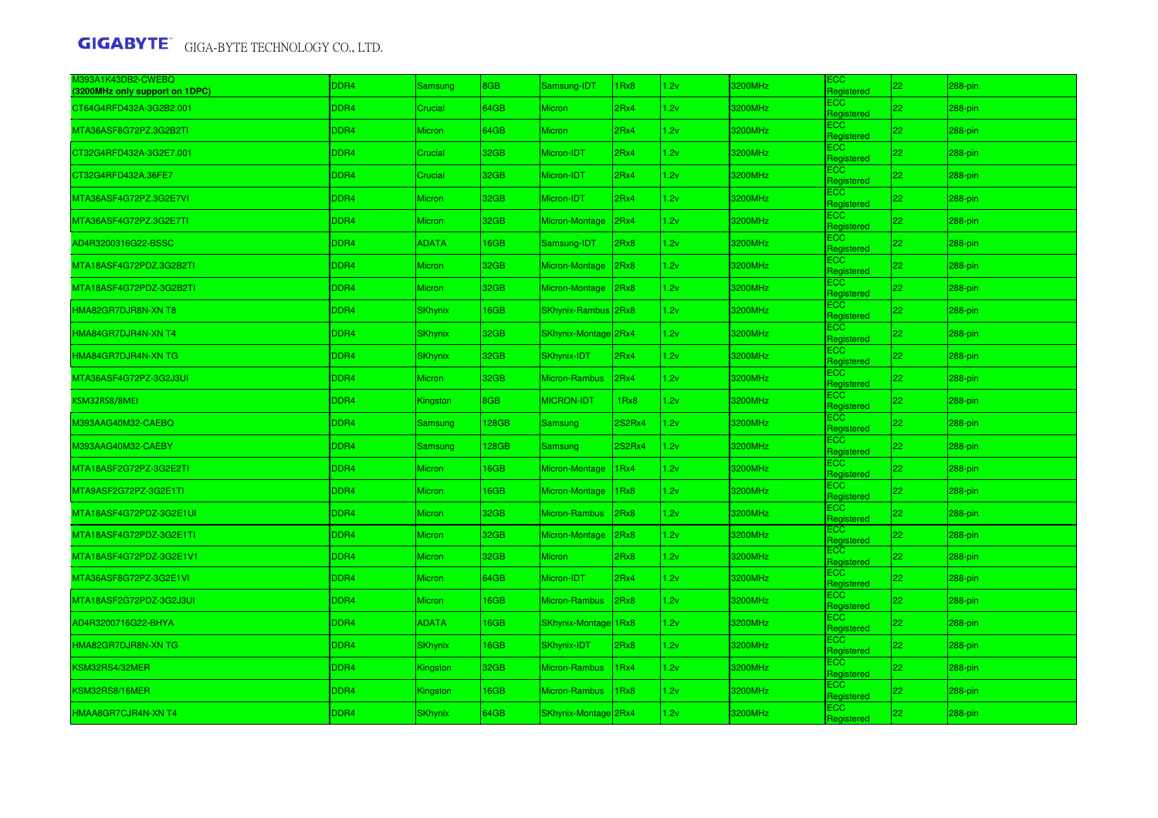| M393A1K43DB2-CWEBQ<br>3200MHz only support on 1DPC) | DDR4             | Samsung        | <b>BGB</b>  | Samsung-IDT          | Rx8              | 1.2v | 3200MHz | ECC.<br>Registered              | 22           | 288-pin    |
|-----------------------------------------------------|------------------|----------------|-------------|----------------------|------------------|------|---------|---------------------------------|--------------|------------|
| CT64G4RFD432A-3G2B2.001                             | DDR4             | Crucial        | 64GB        | <b>Micron</b>        | 2Rx4             | 1.2v | 3200MHz | <b>ECC</b><br>Registered        | 22           | 288-pin    |
| MTA36ASF8G72PZ.3G2B2TI                              | DDR4             | Micron         | 64GB        | <b>Micron</b>        | 2Rx4             | 1.2v | 3200MHz | ECC<br>Registered               | 22           | 288-pin    |
| CT32G4RFD432A-3G2E7.001                             | DDR <sub>4</sub> | Crucial        | 32GB        | Micron-IDT           | 2Rx4             | 1.2v | 3200MHz | ECC.<br>Registered              | 22           | 288-pin    |
| CT32G4RFD432A.36FE7                                 | DDR <sub>4</sub> | Crucial        | 32GB        | Micron-IDT           | 2Rx4             | 1.2v | 3200MHz | ECC.<br>Registered              | 22           | 288-pin    |
| MTA36ASF4G72PZ.3G2E7VI                              | DDR4             | <b>Micron</b>  | 32GB        | Micron-IDT           | 2Rx4             | 1.2v | 3200MHz | <b>ECC</b><br>Registered        | 22           | $288-pin$  |
| MTA36ASF4G72PZ.3G2E7TI                              | DDR4             | Micron         | 32GB        | Micron-Montage       | 2Rx4             | 1.2v | 3200MHz | <b>ECC</b><br>Registered        | 22           | $288$ -pin |
| AD4R3200316G22-BSSC                                 | DDR4             | <b>ADATA</b>   | 16GB        | Samsung-IDT          | 2Rx8             | 1.2v | 3200MHz | <b>ECC</b><br>Registered        | 22           | 288-pin    |
| MTA18ASF4G72PDZ.3G2B2TI                             | DDR4             | Micron         | 32GB        | Micron-Montage       | 2Rx8             | 1.2v | 3200MHz | <b>ECC</b><br>Registered        | 22           | 288-pin    |
| MTA18ASF4G72PDZ-3G2B2TI                             | DDR <sub>4</sub> | Micron         | 32GB        | Micron-Montage       | 2Rx8             | 1.2v | 3200MHz | ECC.<br>Registered              | 22           | 288-pin    |
| HMA82GR7DJR8N-XN T8                                 | DDR4             | <b>SKhynix</b> | 16GB        | SKhynix-Rambus 2Rx8  |                  | 1.2v | 3200MHz | ECC<br>Registered               | $ 22\rangle$ | 288-pin    |
| HMA84GR7DJR4N-XN T4                                 | DDR4             | SKhynix        | 32GB        | SKhynix-Montage 2Rx4 |                  | 1.2v | 3200MHz | <b>ECC</b><br>Registered        | 22           | $288$ -pin |
| HMA84GR7DJR4N-XN TG                                 | DDR4             | <b>SKhynix</b> | 32GB        | SKhynix-IDT          | 2Rx4             | 1.2v | 3200MHz | <b>ECC</b><br>Registered        | 22           | 288-pin    |
| MTA36ASF4G72PZ-3G2J3UI                              | DDR4             | <b>Micron</b>  | 32GB        | Micron-Rambus        | 2Rx4             | 1.2v | 3200MHz | <b>ECC</b><br>Registered        | 22           | 288-pin    |
| KSM32RS8/8MEI                                       | DDR4             | Kingston       | 8GB         | <b>MICRON-IDT</b>    | 1Rx8             | 1.2v | 3200MHz | ECC<br>Registered               | 22           | 288-pin    |
| M393AAG40M32-CAEBQ                                  | DDR4             | Samsung        | 128GB       | <b>Samsung</b>       | 2S2Rx4           | 1.2v | 3200MHz | ECC<br>Registered               | 22           | 288-pin    |
| M393AAG40M32-CAEBY                                  | DDR <sub>4</sub> | Samsung        | 128GB       | <b>Samsung</b>       | 2S2Rx4           | 1.2v | 3200MHz | ECC.<br>Registered              | 22           | 288-pin    |
| MTA18ASF2G72PZ-3G2E2TI                              | DDR4             | <b>Micron</b>  | 6GB         | Micron-Montage       | 1Rx4             | 1.2v | 3200MHz | <b>ECC</b><br>Registered        | 22           | $288$ -pin |
| MTA9ASF2G72PZ-3G2E1TI                               | DDR4             | Micron         | <b>I6GB</b> | Micron-Montage       | 1Rx8             | 1.2v | 3200MHz | <b>ECC</b><br>Registered        | 22           | $288-pin$  |
| MTA18ASF4G72PDZ-3G2E1UI                             | DDR4             | Micron         | 32GB        | Micron-Rambus        | 2Rx8             | 1.2v | 3200MHz | <b>ECC</b><br>Registered        | 22           | 288-pin    |
| MTA18ASF4G72PDZ-3G2E1TI                             | DDR <sub>4</sub> | Micron         | 32GB        | Micron-Montage       | 2Rx8             | 1.2v | 3200MHz | <b>ECC</b><br><b>Registered</b> | 22           | 288-pin    |
| VITA18ASF4G72PDZ-3G2E1V1                            | DDR4             | Micron         | 32GB        | <b>Micron</b>        | 2Rx8             | 1.2v | 3200MHz | <b>ECC</b><br>Registered        | 22           | $288-pin$  |
| MTA36ASF8G72PZ-3G2E1VI                              | DDR4             | Micron         | 64GB        | Micron-IDT           | 2Rx4             | 1.2v | 3200MHz | ECC.<br>Registered              | 22           | $288$ -pin |
| MTA18ASF2G72PDZ-3G2J3UI                             | DDR4             | <b>Micron</b>  | <b>I6GB</b> | Micron-Rambus        | 2Rx8             | 1.2v | 3200MHz | <b>ECC</b><br>Registered        | 22           | $288$ -pin |
| AD4R3200716G22-BHYA                                 | DDR4             | <b>ADATA</b>   | 16GB        | SKhynix-Montage 1Rx8 |                  | 1.2v | 3200MHz | <b>ECC</b><br>Registered        | 22           | 288-pin    |
| HMA82GR7DJR8N-XN TG                                 | DDR <sub>4</sub> | <b>SKhynix</b> | <b>I6GB</b> | SKhynix-IDT          | 2Rx8             | 1.2v | 3200MHz | ECC<br>Registered               | 22           | 288-pin    |
| KSM32RS4/32MER                                      | DDR4             | Kingston       | 32GB        | Micron-Rambus        | 1 <sub>Rx4</sub> | 1.2v | 3200MHz | ECC.<br>Registered              | 22           | 288-pin    |
| KSM32RS8/16MER                                      | DDR <sub>4</sub> | Kingston       | <b>I6GB</b> | Micron-Rambus        | 1Rx8             | 1.2v | 3200MHz | ECC.<br>Registered              | 22           | 288-pin    |
| HMAA8GR7CJR4N-XN T4                                 | DDR4             | <b>SKhynix</b> | 64GB        | SKhynix-Montage 2Rx4 |                  | 1.2v | 3200MHz | ECC<br>Registered               | 22           | 288-pin    |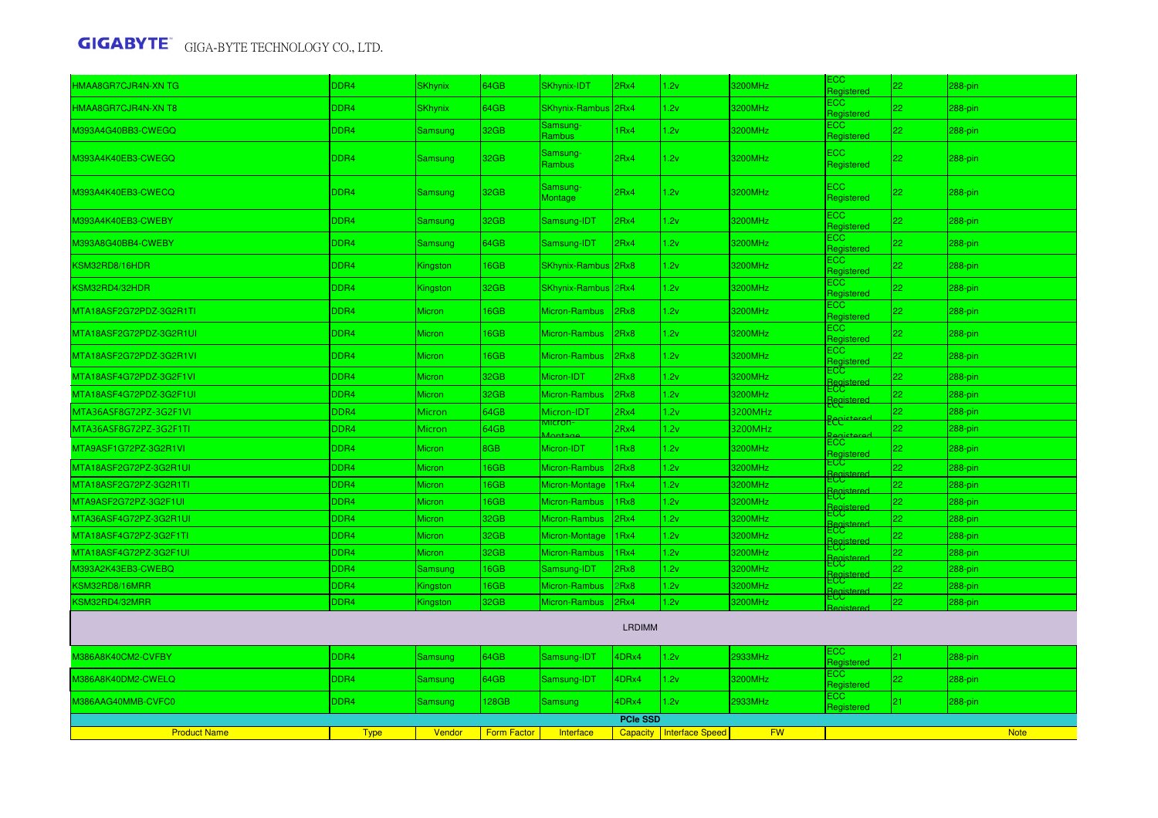| HMAA8GR7CJR4N-XN TG     | DDR4             | <b>SKhynix</b> | 64GB               | SKhynix-IDT                   | 2Rx4            | 1.2v                              | 3200MHz   | ECC :<br>Registered           | 22 | 288-pin     |
|-------------------------|------------------|----------------|--------------------|-------------------------------|-----------------|-----------------------------------|-----------|-------------------------------|----|-------------|
| HMAA8GR7CJR4N-XN T8     | DDR4             | SKhynix        | 64GB               | SKhynix-Rambus 2Rx4           |                 | 1.2v                              | 3200MHz   | ECC.<br>Registered            | 22 | 288-pin     |
| M393A4G40BB3-CWEGQ      | DDR4             | Samsung        | 32GB               | Samsung-<br>Rambus            | 1Rx4            | 1.2v                              | 3200MHz   | ECC.<br>Registered            | 22 | 288-pin     |
| M393A4K40EB3-CWEGQ      | DDR <sub>4</sub> | Samsung        | 32GB               | Samsung-<br>Rambus            | 2Rx4            | 1.2v                              | 3200MHz   | ECC<br>Registered             | 22 | 288-pin     |
| M393A4K40EB3-CWECQ      | DDR <sub>4</sub> | Samsung        | 32GB               | Samsung-<br>Montage           | 2Rx4            | 1.2v                              | 3200MHz   | EC <sub>2</sub><br>Registered | 22 | 288-pin     |
| M393A4K40EB3-CWEBY      | DDR4             | Samsung        | 32GB               | Samsung-IDT                   | 2Rx4            | 1.2v                              | 3200MHz   | EC <sub>2</sub><br>Registered | 22 | 288-pin     |
| M393A8G40BB4-CWEBY      | DDR4             | Samsung        | 64GB               | Samsung-IDT                   | 2Rx4            | 1.2v                              | 3200MHz   | ECC<br>Registered             | 22 | 288-pin     |
| KSM32RD8/16HDR          | DDR4             | Kingston       | 16GB               | SKhynix-Rambus 2Rx8           |                 | 1.2v                              | 3200MHz   | ECC.<br>Registered            | 22 | 288-pin     |
| KSM32RD4/32HDR          | DDR4             | Kingston       | 32GB               | SKhynix-Rambus 2Rx4           |                 | 1.2v                              | 3200MHz   | ECC<br>Registered             | 22 | 288-pin     |
| MTA18ASF2G72PDZ-3G2R1TI | DDR4             | <b>Micron</b>  | 16GB               | Micron-Rambus 2Rx8            |                 | 1.2v                              | 3200MHz   | ECC.<br>Registered            | 22 | 288-pin     |
| MTA18ASF2G72PDZ-3G2R1UI | DDR4             | Micron         | 16GB               | Micron-Rambus                 | 2Rx8            | 1.2v                              | 3200MHz   | ECC<br>Registered             | 22 | 288-pin     |
| MTA18ASF2G72PDZ-3G2R1VI | DDR4             | <b>Micron</b>  | 16GB               | Micron-Rambus                 | 2Rx8            | 1.2v                              | 3200MHz   | ECC.<br>Registered            | 22 | 288-pin     |
| MTA18ASF4G72PDZ-3G2F1VI | DDR4             | Micron         | 32GB               | Micron-IDT                    | 2Rx8            | 1.2v                              | 3200MHz   | EСC<br><b>Registered</b>      | 22 | 288-pin     |
| MTA18ASF4G72PDZ-3G2F1UI | DDR4             | Micron         | 32GB               | Micron-Rambus                 | 2Rx8            | 1.2v                              | 3200MHz   | ECC.                          | 22 | 288-pin     |
| MTA36ASF8G72PZ-3G2F1VI  | DDR4             | Micron         | 64GB               | Micron-IDT                    | 2Rx4            | 1.2v                              | 3200MHz   | <u> Bepistered</u>            | 22 | 288-pin     |
| MTA36ASF8G72PZ-3G2F1TI  | DDR4             | Micron         | 64GB               | <u>viicron-</u><br>$l$ ontagu | 2Rx4            | 1.2v                              | 3200MHz   | <del>Eccist</del>             | 22 | 288-pin     |
| MTA9ASF1G72PZ-3G2R1VI   | DDR4             | <b>Micron</b>  | 8GB                | Micron-IDT                    | 1Rx8            | 1.2v                              | 3200MHz   | ECC<br>Registered             | 22 | 288-pin     |
| MTA18ASF2G72PZ-3G2R1UI  | DDR4             | Micron         | 16GB               | Micron-Rambus                 | 2Rx8            | 1.2v                              | 3200MHz   | ECC<br>Registered             | 22 | 288-pin     |
| MTA18ASF2G72PZ-3G2R1TI  | DDR4             | Micron         | 16GB               | Micron-Montage                | 1Rx4            | 1.2v                              | 3200MHz   | ECC<br>Registered             | 22 | 288-pin     |
| MTA9ASF2G72PZ-3G2F1UI   | DDR4             | Micron         | 16GB               | Micron-Rambus                 | 1Rx8            | 1.2v                              | 3200MHz   | ECC                           | 22 | 288-pin     |
| MTA36ASF4G72PZ-3G2R1UI  | DDR4             | Micron         | 32GB               | Micron-Rambus                 | 2Rx4            | 1.2v                              | 3200MHz   | ⊨CC<br>Registered             | 22 | 288-pin     |
| MTA18ASF4G72PZ-3G2F1TI  | DDR <sub>4</sub> | Micron         | 32GB               | Micron-Montage                | 1Rx4            | 1.2v                              | 3200MHz   | ECC<br>Registered             | 22 | 288-pin     |
| MTA18ASF4G72PZ-3G2F1UI  | DDR4             | <b>Micron</b>  | 32GB               | Micron-Rambus                 | 1Rx4            | 1.2v                              | 3200MHz   | <b>ECC</b><br>anina?          | 22 | 288-pin     |
| M393A2K43EB3-CWEBQ      | DDR4             | Samsung        | 16GB               | Samsung-IDT                   | 2Rx8            | 1.2v                              | 3200MHz   | ECC.                          | 22 | 288-pin     |
| KSM32RD8/16MRR          | DDR4             | Kingston       | 16GB               | Micron-Rambus                 | 2Rx8            | 1.2v                              | 3200MHz   | ECG.                          | 22 | 288-pin     |
| KSM32RD4/32MRR          | DDR4             | Kingston       | 32GB               | Micron-Rambus                 | 2Rx4            | 1.2v                              | 3200MHz   | ECC<br><b>Registere</b>       | 22 | 288-pin     |
| <b>LRDIMM</b>           |                  |                |                    |                               |                 |                                   |           |                               |    |             |
| 0386A8K40CM2-CVFBY      | DDR4             | Samsung        | 64GB               | Samsung-IDT                   | 4DRx4           | 1.2v                              | 2933MHz   | ECC<br>Registered             | 21 | 288-pin     |
| M386A8K40DM2-CWELQ      | DDR4             | Samsung        | 64GB               | Samsung-IDT                   | 4DRx4           | 1.2v                              | 3200MHz   | ECC<br>Registered             | 22 | 288-pin     |
| M386AAG40MMB-CVFC0      | DDR4             | Samsung        | 128GB              | Samsung                       | 4DRx4           | 1.2v                              | 2933MHz   | ECC.<br>Registered            | 21 | 288-pin     |
|                         |                  |                |                    |                               | <b>PCIe SSD</b> |                                   |           |                               |    |             |
| <b>Product Name</b>     | <b>Type</b>      | Vendor         | <b>Form Factor</b> | <b>Interface</b>              |                 | <b>Capacity   Interface Speed</b> | <b>FW</b> |                               |    | <b>Note</b> |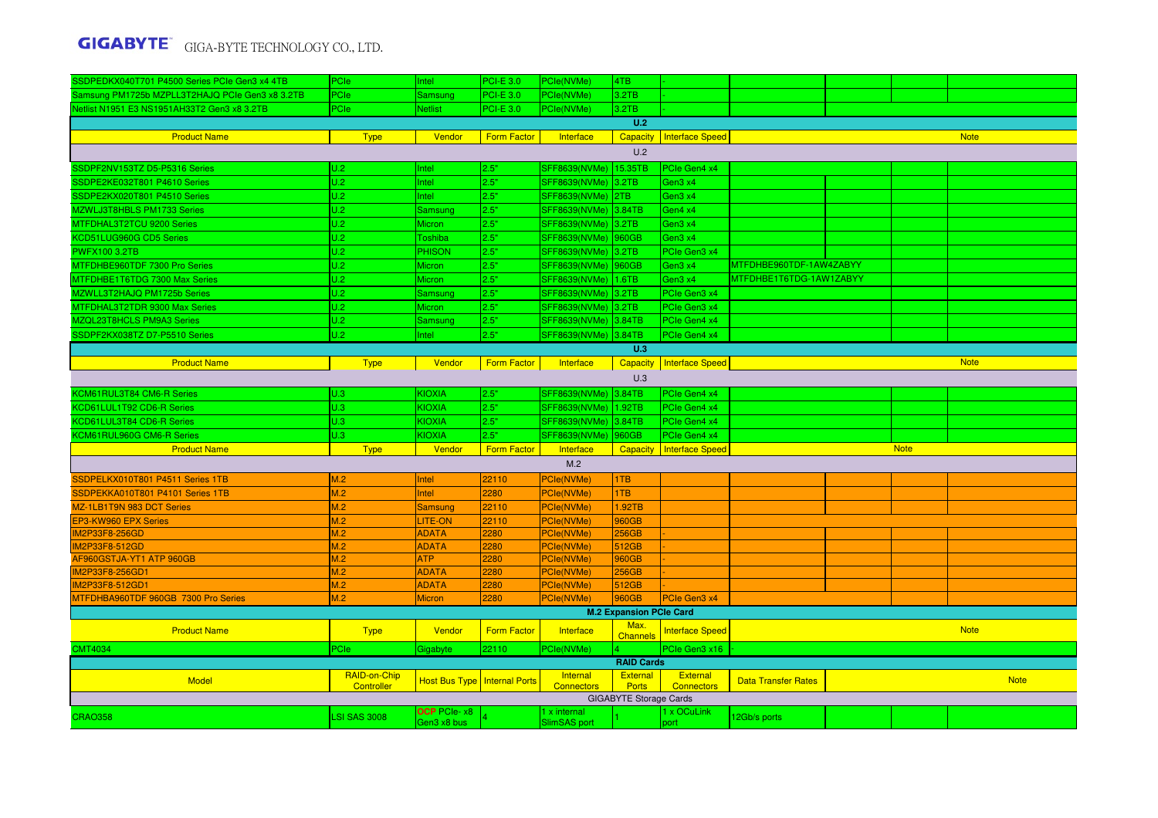| SSDPEDKX040T701 P4500 Series PCIe Gen3 x4 4TB     | PCIe                | Intel                             | <b>PCI-E 3.0</b>   | PCle(NVMe)                   | 4TB                            |                        |                            |             |             |
|---------------------------------------------------|---------------------|-----------------------------------|--------------------|------------------------------|--------------------------------|------------------------|----------------------------|-------------|-------------|
| Samsung PM1725b MZPLL3T2HAJQ PCIe Gen3 x8 3.2TB   | PCIe                | <b>Samsung</b>                    | <b>PCI-E 3.0</b>   | PCle(NVMe)                   | 3.2TB                          |                        |                            |             |             |
| Netlist N1951 E3 NS1951AH33T2 Gen3 x8 3.2TB       | PCIe                | Netlist                           | <b>PCI-E 3.0</b>   | PCle(NVMe)                   | 3.2TB                          |                        |                            |             |             |
|                                                   |                     |                                   |                    |                              | U.2                            |                        |                            |             |             |
| <b>Product Name</b>                               | <b>Type</b>         | Vendor                            | <b>Form Factor</b> | Interface                    | <b>Capacity</b>                | <b>Interface Speed</b> |                            |             | <b>Note</b> |
|                                                   |                     |                                   |                    |                              | U.2                            |                        |                            |             |             |
| SSDPF2NV153TZ D5-P5316 Series                     | U.2                 | Intel                             | 2.5"               | SFF8639(NVMe) 15.35TB        |                                | PCIe Gen4 x4           |                            |             |             |
| SSDPE2KE032T801 P4610 Series                      | U.2                 | <b>Intel</b>                      | 2.5"               | SFF8639(NVMe) 3.2TB          |                                | Gen3 x4                |                            |             |             |
| SSDPE2KX020T801 P4510 Series                      | U.2                 | <b>Intel</b>                      | 2.5"               | SFF8639(NVMe) 2TB            |                                | Gen3 x4                |                            |             |             |
| MZWLJ3T8HBLS PM1733 Series                        | U.2                 | Samsung                           | 2.5"               | SFF8639(NVMe) 3.84TB         |                                | Gen4 x4                |                            |             |             |
| MTFDHAL3T2TCU 9200 Series                         | U.2                 | Micron                            | 2.5"               | SFF8639(NVMe)                | 3.2TB                          | Gen3 x4                |                            |             |             |
| KCD51LUG960G CD5 Series                           | U.2                 | Toshiba                           | 2.5"               | SFF8639(NVMe)                | 960GB                          | Gen3 x4                |                            |             |             |
| <b>PWFX100 3.2TB</b>                              | U.2                 | PHISON                            | 2.5"               | SFF8639(NVMe) 3.2TB          |                                | PCIe Gen3 x4           |                            |             |             |
| MTFDHBE960TDF 7300 Pro Series                     | U.2                 | Micron                            | 2.5"               | <b>SFF8639(NVMe)</b>         | 960GB                          | Gen3 x4                | MTFDHBE960TDF-1AW4ZABYY    |             |             |
| MTFDHBE1T6TDG 7300 Max Series                     | U.2                 | Micron                            | 2.5"               | SFF8639(NVMe)                | 1.6TB                          | Gen3 x4                | MTFDHBE1T6TDG-1AW1ZABYY    |             |             |
| MZWLL3T2HAJQ PM1725b Series                       | U.2                 | Samsung                           | 2.5"               | SFF8639(NVMe)                | 3.2TB                          | PCIe Gen3 x4           |                            |             |             |
| MTFDHAL3T2TDR 9300 Max Series                     | U.2                 | <b>Micron</b>                     | 2.5"               | SFF8639(NVMe) 3.2TB          |                                | PCIe Gen3 x4           |                            |             |             |
| MZQL23T8HCLS PM9A3 Series                         | U.2                 | Samsung                           | 2.5"               | <b>SFF8639(NVMe)</b>         | 3.84TB                         | PCIe Gen4 x4           |                            |             |             |
| SSDPF2KX038TZ D7-P5510 Series                     | U.2                 | ntel                              | 2.5"               | <b>SFF8639(NVMe)</b>         | 3.84TB                         | PCIe Gen4 x4           |                            |             |             |
|                                                   |                     |                                   |                    |                              | U.3                            |                        |                            |             |             |
| <b>Product Name</b>                               | <b>Type</b>         | Vendor                            | <b>Form Factor</b> | Interface                    | <b>Capacity</b>                | Interface Speed        |                            |             | <b>Note</b> |
|                                                   |                     |                                   |                    |                              | U.3                            |                        |                            |             |             |
| KCM61RUL3T84 CM6-R Series                         |                     | <b>KIOXIA</b>                     |                    |                              |                                | PCIe Gen4 x4           |                            |             |             |
|                                                   | U.3<br>U.3          | KIOXIA                            | 2.5"<br>2.5"       | SFF8639(NVMe)                | 3.84TB<br>1.92TB               | PCle Gen4 x4           |                            |             |             |
| KCD61LUL1T92 CD6-R Series                         | U.3                 | KIOXIA                            | 2.5"               | SFF8639(NVMe)                | 3.84TB                         | PCIe Gen4 x4           |                            |             |             |
| KCD61LUL3T84 CD6-R Series                         | U.3                 | KIOXIA                            | 2.5"               | SFF8639(NVMe)                | 960GB                          | PCIe Gen4 x4           |                            |             |             |
| KCM61RUL960G CM6-R Series<br><b>Product Name</b>  | <b>Type</b>         | Vendor                            | <b>Form Factor</b> | SFF8639(NVMe)<br>Interface   |                                | Interface Speed        |                            | <b>Note</b> |             |
|                                                   |                     |                                   |                    | M.2                          | <b>Capacity</b>                |                        |                            |             |             |
|                                                   |                     |                                   |                    |                              |                                |                        |                            |             |             |
| SSDPELKX010T801 P4511 Series 1TB                  | M.2                 | Intel                             | 22110              | PCle(NVMe)                   | 1TB                            |                        |                            |             |             |
| SSDPEKKA010T801 P4101 Series 1TB                  | M.2                 | Intel                             | 2280               | PCle(NVMe)                   | 1TB                            |                        |                            |             |             |
| MZ-1LB1T9N 983 DCT Series                         | M.2                 | <b>Samsung</b>                    | 22110              | PCle(NVMe)                   | 1.92TB                         |                        |                            |             |             |
| <b>EP3-KW960 EPX Series</b>                       | M.2                 | <b>LITE-ON</b>                    | 22110              | PCle(NVMe)                   | 960GB                          |                        |                            |             |             |
| <b>IM2P33F8-256GD</b>                             | M.2                 | <b>ADATA</b>                      | 2280               | <b>PCle(NVMe)</b>            | <b>256GB</b>                   |                        |                            |             |             |
| <b>IM2P33F8-512GD</b><br>AF960GSTJA-YT1 ATP 960GB | M.2<br>M.2          | <b>ADATA</b><br><b>ATP</b>        | 2280               | PCle(NVMe)<br>PCle(NVMe)     | 512GB                          |                        |                            |             |             |
| IM2P33F8-256GD1                                   | M.2                 | <b>ADATA</b>                      | 2280<br>2280       | PCle(NVMe)                   | 960GB<br>256GB                 |                        |                            |             |             |
| IM2P33F8-512GD1                                   | M.2                 | <b>ADATA</b>                      | 2280               | PCle(NVMe)                   | 512GB                          |                        |                            |             |             |
| MTFDHBA960TDF 960GB 7300 Pro Series               | M.2                 | <b>Micron</b>                     | 2280               | PCle(NVMe)                   | 960GB                          | PCIe Gen3 x4           |                            |             |             |
|                                                   |                     |                                   |                    |                              | <b>M.2 Expansion PCIe Card</b> |                        |                            |             |             |
|                                                   |                     |                                   |                    |                              | Max.                           |                        |                            |             |             |
| <b>Product Name</b>                               | <b>Type</b>         | Vendor                            | <b>Form Factor</b> | Interface                    | <b>Channels</b>                | <b>Interface Speed</b> |                            |             | <b>Note</b> |
| <b>CMT4034</b>                                    | PCIe                | Gigabyte                          | 22110              | PCle(NVMe)                   |                                | PCle Gen3 x16          |                            |             |             |
|                                                   |                     |                                   |                    |                              | <b>RAID Cards</b>              |                        |                            |             |             |
| Model                                             | RAID-on-Chip        | Host Bus Type   Internal Ports    |                    | Internal                     | <b>External</b>                | External               | <b>Data Transfer Rates</b> |             | <b>Note</b> |
|                                                   | Controller          |                                   |                    | <b>Connectors</b>            | <b>Ports</b>                   | <b>Connectors</b>      |                            |             |             |
|                                                   |                     |                                   |                    |                              | <b>GIGABYTE Storage Cards</b>  |                        |                            |             |             |
| <b>CRAO358</b>                                    | <b>LSI SAS 3008</b> | <b>OCP</b> PCIe-x8<br>Gen3 x8 bus |                    | 1 x internal<br>SlimSAS port |                                | 1 x OCuLink<br>port    | 12Gb/s ports               |             |             |
|                                                   |                     |                                   |                    |                              |                                |                        |                            |             |             |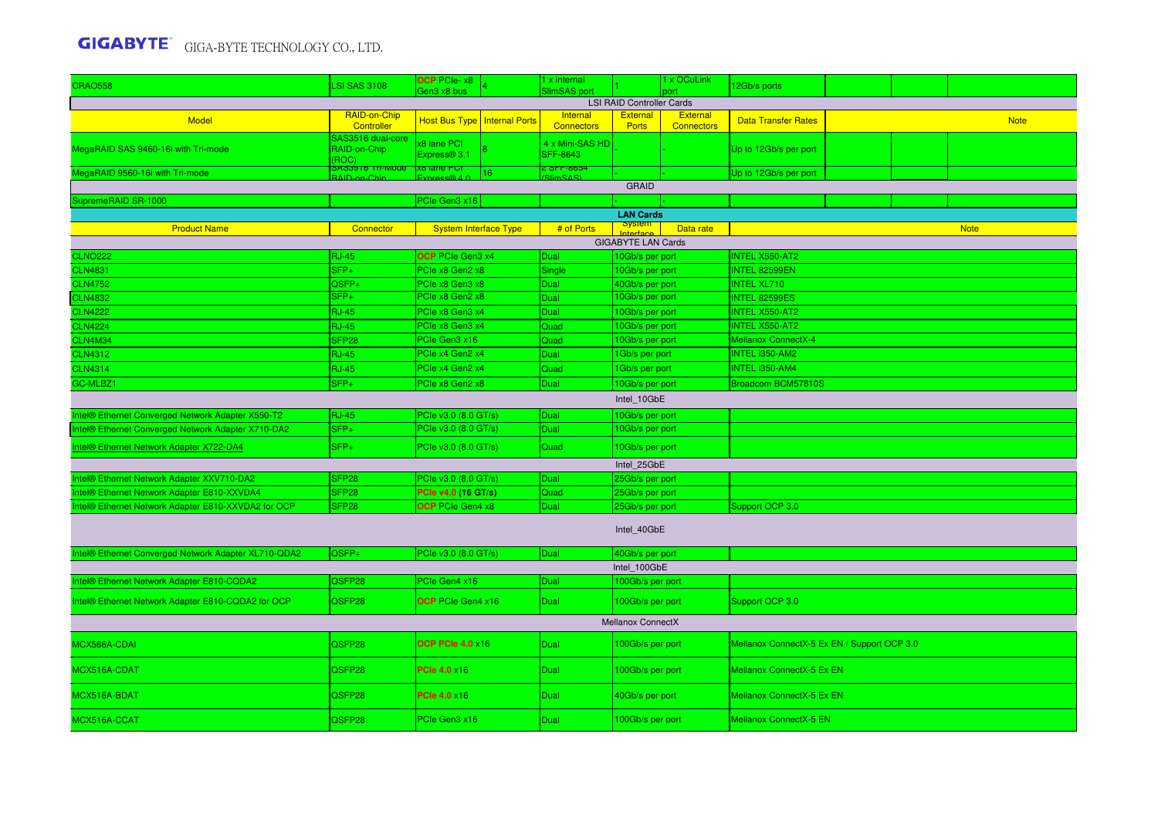| <b>CRAO558</b>                                       | <b>SI SAS 3108</b>                            | OCP PCIe- $x8$<br>Gen3 x8 bus  |                 | I x internal<br><b>SlimSAS</b> port |                                  | 1 x OCuLink                          | 12Gb/s ports                                |  |  |             |  |  |
|------------------------------------------------------|-----------------------------------------------|--------------------------------|-----------------|-------------------------------------|----------------------------------|--------------------------------------|---------------------------------------------|--|--|-------------|--|--|
|                                                      |                                               |                                |                 |                                     | <b>LSI RAID Controller Cards</b> |                                      |                                             |  |  |             |  |  |
| Model                                                | RAID-on-Chip<br>Controller                    | Host Bus Type   Internal Ports |                 | Internal<br><b>Connectors</b>       | <b>External</b><br><b>Ports</b>  | <b>External</b><br><b>Connectors</b> | <b>Data Transfer Rates</b>                  |  |  | <b>Note</b> |  |  |
| MegaRAID SAS 9460-16i with Tri-mode                  | SAS3516 dual-core<br>RAID-on-Chip<br>(ROC)    | x8 lane PCI<br>Express® 3.1    |                 | 4 x Mini-SAS HD<br>SFF-8643         |                                  |                                      | Up to 12Gb/s per port                       |  |  |             |  |  |
| MegaRAID 9560-16i with Tri-mode                      | 453916 Tri-Mod<br>$\sim$ Chi<br>$\frac{1}{2}$ | xo iane PUI                    | 16 <sup>1</sup> | <mark>: SFF-8654</mark><br>SlimSAS) |                                  |                                      | Up to 12Gb/s per port                       |  |  |             |  |  |
|                                                      |                                               |                                |                 |                                     | <b>GRAID</b>                     |                                      |                                             |  |  |             |  |  |
| SupremeRAID SR-1000                                  |                                               | PCIe Gen3 x16                  |                 |                                     |                                  |                                      |                                             |  |  |             |  |  |
|                                                      |                                               |                                |                 |                                     | <b>LAN Cards</b>                 |                                      |                                             |  |  |             |  |  |
| <b>Product Name</b>                                  | Connector                                     | <b>System Interface Type</b>   |                 | # of Ports                          | $5$ yste                         | <b>Note</b>                          |                                             |  |  |             |  |  |
|                                                      |                                               |                                |                 |                                     | <b>GIGABYTE LAN Cards</b>        |                                      |                                             |  |  |             |  |  |
| <b>CLNO222</b>                                       | <b>RJ-45</b>                                  | <b>OCP</b> PCIe Gen3 x4        |                 | Dual                                | 10Gb/s per port                  |                                      | <b>INTEL X550-AT2</b>                       |  |  |             |  |  |
| <b>CLN4831</b>                                       | SFP+                                          | PCle x8 Gen2 x8                |                 | Single                              | 10Gb/s per port                  |                                      | <b>INTEL 82599EN</b>                        |  |  |             |  |  |
| <b>CLN4752</b>                                       | QSFP+                                         | PCle x8 Gen3 x8                |                 | <b>Dual</b>                         | 40Gb/s per port                  |                                      | <b>INTEL XL710</b>                          |  |  |             |  |  |
| <b>CLN4832</b>                                       | SFP+                                          | PCle x8 Gen2 x8                |                 | <b>Dual</b>                         | 10Gb/s per port                  |                                      | <b>INTEL 82599ES</b>                        |  |  |             |  |  |
| <b>CLN4222</b>                                       | <b>RJ-45</b>                                  | PCle x8 Gen3 x4                |                 | Dual                                | 10Gb/s per port                  |                                      | <b>INTEL X550-AT2</b>                       |  |  |             |  |  |
| <b>CLN4224</b>                                       | <b>RJ-45</b>                                  | PCle x8 Gen3 x4                |                 | Quad                                | 10Gb/s per port                  |                                      | <b>INTEL X550-AT2</b>                       |  |  |             |  |  |
| CLN4M34                                              | SFP <sub>28</sub>                             | PCle Gen3 x16                  |                 | Quad                                | 10Gb/s per port                  |                                      | <b>Mellanox ConnectX-4</b>                  |  |  |             |  |  |
| <b>CLN4312</b>                                       | <b>RJ-45</b>                                  | PCIe x4 Gen2 x4                |                 | <b>Dual</b>                         | 1Gb/s per port                   |                                      | <b>INTEL i350-AM2</b>                       |  |  |             |  |  |
| <b>CLN4314</b>                                       | <b>RJ-45</b>                                  | PCle x4 Gen2 x4                |                 | Quad                                | 1Gb/s per port                   |                                      | <b>INTEL i350-AM4</b>                       |  |  |             |  |  |
| GC-MLBZ1                                             | SFP+                                          | PCle x8 Gen2 x8                |                 | Dual                                | 10Gb/s per port                  |                                      | Broadcom BCM57810S                          |  |  |             |  |  |
| Intel 10GbE                                          |                                               |                                |                 |                                     |                                  |                                      |                                             |  |  |             |  |  |
| Intel® Ethernet Converged Network Adapter X550-T2    | <b>RJ-45</b>                                  | PCle v3.0 (8.0 GT/s)           |                 | Dual                                | 10Gb/s per port                  |                                      |                                             |  |  |             |  |  |
| Intel® Ethernet Converged Network Adapter X710-DA2   | SFP+                                          | PCIe v3.0 (8.0 GT/s)           |                 | Dual                                | 10Gb/s per port                  |                                      |                                             |  |  |             |  |  |
| Intel® Ethernet Network Adapter X722-DA4             | SFP+                                          | PCle v3.0 (8.0 GT/s)           |                 | Quad                                | 10Gb/s per port                  |                                      |                                             |  |  |             |  |  |
|                                                      |                                               |                                |                 |                                     | Intel 25GbE                      |                                      |                                             |  |  |             |  |  |
| Intel® Ethernet Network Adapter XXV710-DA2           | SFP <sub>28</sub>                             | PCIe v3.0 (8.0 GT/s)           |                 | <b>Dual</b>                         | 25Gb/s per port                  |                                      |                                             |  |  |             |  |  |
| Intel® Ethernet Network Adapter E810-XXVDA4          | SFP <sub>28</sub>                             | PCle v4.0 (16 GT/s)            |                 | Quad                                | 25Gb/s per port                  |                                      |                                             |  |  |             |  |  |
| Intel® Ethernet Network Adapter E810-XXVDA2 for OCP  | SFP <sub>28</sub>                             | <b>OCP</b> PCIe Gen4 x8        |                 | Dual                                | 25Gb/s per port                  |                                      | Support OCP 3.0                             |  |  |             |  |  |
|                                                      |                                               |                                |                 |                                     | Intel_40GbE                      |                                      |                                             |  |  |             |  |  |
| Intel® Ethernet Converged Network Adapter XL710-QDA2 | QSFP+                                         | PCIe v3.0 (8.0 GT/s)           |                 | Dual                                | 40Gb/s per port                  |                                      |                                             |  |  |             |  |  |
|                                                      |                                               |                                |                 |                                     | Intel 100GbE                     |                                      |                                             |  |  |             |  |  |
| Intel® Ethernet Network Adapter E810-CQDA2           | QSFP28                                        | PCIe Gen4 x16                  |                 | Dual                                | 100Gb/s per port                 |                                      |                                             |  |  |             |  |  |
| Intel® Ethernet Network Adapter E810-CQDA2 for OCP   | QSFP28                                        | <b>OCP</b> PCIe Gen4 x16       |                 | <b>Dual</b>                         | 100Gb/s per port                 |                                      | Support OCP 3.0                             |  |  |             |  |  |
|                                                      |                                               |                                |                 |                                     | <b>Mellanox ConnectX</b>         |                                      |                                             |  |  |             |  |  |
| MCX566A-CDAI                                         | QSFP28                                        | <b>OCP PCIe 4.0 x16</b>        |                 | Dual                                | 100Gb/s per port                 |                                      | Mellanox ConnectX-5 Ex EN / Support OCP 3.0 |  |  |             |  |  |
| MCX516A-CDAT                                         | QSFP28                                        | <b>PCle 4.0 x16</b>            |                 | Dual                                | 100Gb/s per port                 |                                      | Mellanox ConnectX-5 Ex EN                   |  |  |             |  |  |
| MCX516A-BDAT                                         | QSFP28                                        | <b>PCle 4.0 x16</b>            |                 | Dual                                | 40Gb/s per port                  |                                      | Mellanox ConnectX-5 Ex EN                   |  |  |             |  |  |
| MCX516A-CCAT                                         | QSFP28                                        | PCIe Gen3 x16                  |                 | <b>Dual</b>                         | 100Gb/s per port                 |                                      | Mellanox ConnectX-5 EN                      |  |  |             |  |  |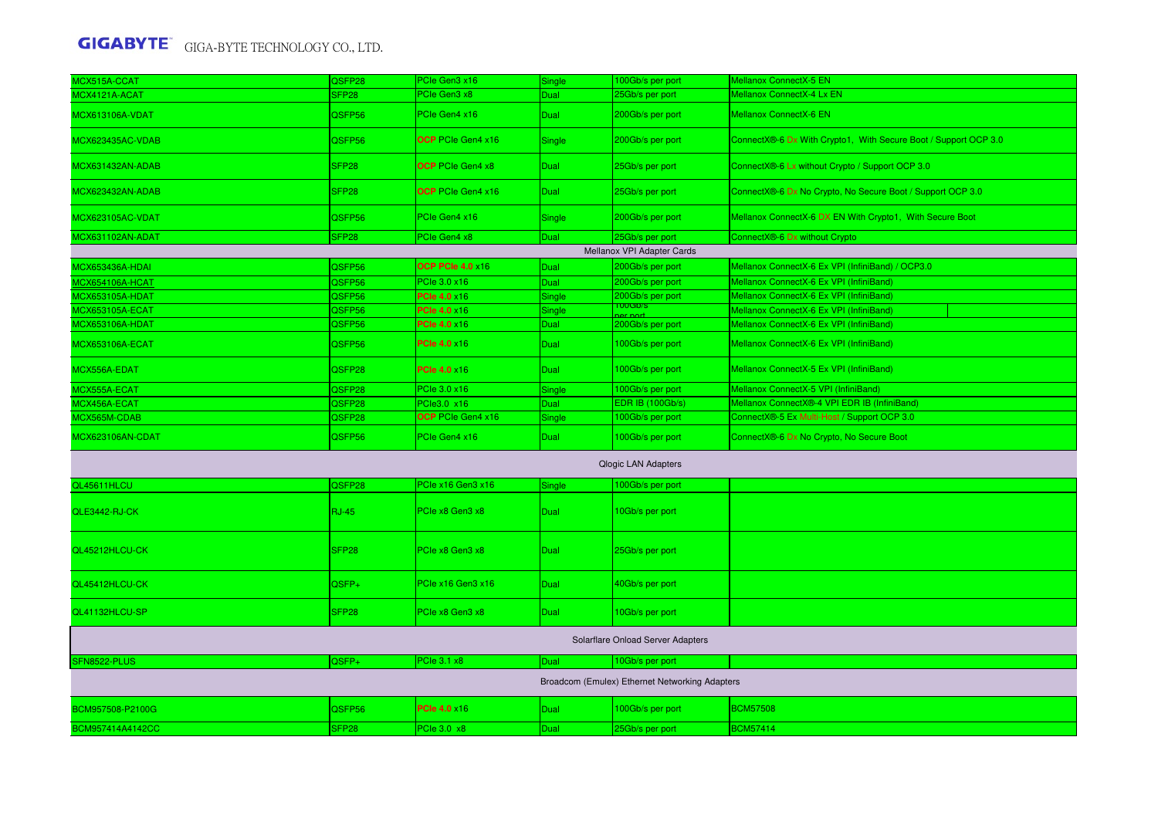| <b>MCX515A-CCAT</b>     | QSFP28            | PCle Gen3 x16            | Single        | 100Gb/s per port                               | Mellanox ConnectX-5 EN                                          |
|-------------------------|-------------------|--------------------------|---------------|------------------------------------------------|-----------------------------------------------------------------|
| <b>ICX4121A-ACAT</b>    | SFP28             | PCIe Gen3 x8             | Dual          | 25Gb/s per port                                | Mellanox ConnectX-4 Lx EN                                       |
| MCX613106A-VDAT         | QSFP56            | PCIe Gen4 x16            | Dual          | 200Gb/s per port                               | <b>Mellanox ConnectX-6 EN</b>                                   |
| //CX623435AC-VDAB       | QSFP56            | OCP PCIe Gen4 x16        | Single        | 200Gb/s per port                               | ConnectX®-6 Dx With Crypto1, With Secure Boot / Support OCP 3.0 |
| <b>MCX631432AN-ADAB</b> | SFP <sub>28</sub> | <b>OCP</b> PCIe Gen4 x8  | Dual          | 25Gb/s per port                                | ConnectX®-6 Lx without Crypto / Support OCP 3.0                 |
| <b>MCX623432AN-ADAB</b> | SFP <sub>28</sub> | <b>OCP</b> PCIe Gen4 x16 | Dual          | 25Gb/s per port                                | ConnectX®-6 Dx No Crypto, No Secure Boot / Support OCP 3.0      |
| <b>ACX623105AC-VDAT</b> | QSFP56            | PCIe Gen4 x16            | Single        | 200Gb/s per port                               | Mellanox ConnectX-6 DX EN With Crypto1, With Secure Boot        |
| MCX631102AN-ADAT        | SFP28             | PCle Gen4 x8             | Dual          | 25Gb/s per port                                | ConnectX®-6 Dx without Crypto                                   |
|                         |                   |                          |               | Mellanox VPI Adapter Cards                     |                                                                 |
| <b>ACX653436A-HDAI</b>  | QSFP56            | <b>OCP PCIe 4.0 x16</b>  | Dual          | 200Gb/s per port                               | Mellanox ConnectX-6 Ex VPI (InfiniBand) / OCP3.0                |
| <b>ICX654106A-HCAT</b>  | QSFP56            | PCle 3.0 x16             | Dual          | 200Gb/s per port                               | Mellanox ConnectX-6 Ex VPI (InfiniBand)                         |
| <b>MCX653105A-HDAT</b>  | QSFP56            | <b>PCle 4.0 x16</b>      | Single        | 200Gb/s per port                               | Mellanox ConnectX-6 Ex VPI (InfiniBand)                         |
| <b>MCX653105A-ECAT</b>  | QSFP56            | <b>PCle 4.0 x16</b>      | <b>Single</b> | <mark>ruuGb/s</mark>                           | Mellanox ConnectX-6 Ex VPI (InfiniBand)                         |
| <b>ACX653106A-HDAT</b>  | QSFP56            | <b>PCle 4.0 x16</b>      | Dual          | 200Gb/s per port                               | Mellanox ConnectX-6 Ex VPI (InfiniBand)                         |
| <b>MCX653106A-ECAT</b>  | QSFP56            | <b>PCle 4.0 x16</b>      | Dual          | 100Gb/s per port                               | Mellanox ConnectX-6 Ex VPI (InfiniBand)                         |
| <b>MCX556A-EDAT</b>     | QSFP28            | <b>PCle 4.0 ×16</b>      | Dual          | 100Gb/s per port                               | Mellanox ConnectX-5 Ex VPI (InfiniBand)                         |
| MCX555A-ECAT            | QSFP28            | PCle 3.0 x16             | Single        | 100Gb/s per port                               | Mellanox ConnectX-5 VPI (InfiniBand)                            |
| MCX456A-ECAT            | QSFP28            | PCle3.0 x16              | Dual          | <b>EDR IB (100Gb/s)</b>                        | Mellanox ConnectX®-4 VPI EDR IB (InfiniBand)                    |
| <b>MCX565M-CDAB</b>     | QSFP28            | OCP PCIe Gen4 x16        | Single        | 100Gb/s per port                               | ConnectX®-5 Ex Multi-Host / Support OCP 3.0                     |
| <b>MCX623106AN-CDAT</b> | QSFP56            | PCIe Gen4 x16            | <b>Dual</b>   | 100Gb/s per port                               | ConnectX®-6 Dx No Crypto, No Secure Boot                        |
|                         |                   |                          |               | <b>Qlogic LAN Adapters</b>                     |                                                                 |
| QL45611HLCU             | QSFP28            | PCle x16 Gen3 x16        | Single        | 00Gb/s per port                                |                                                                 |
| QLE3442-RJ-CK           | <b>RJ-45</b>      | PCle x8 Gen3 x8          | <b>Dual</b>   | 10Gb/s per port                                |                                                                 |
| QL45212HLCU-CK          | SFP <sub>28</sub> | PCle x8 Gen3 x8          | <b>Dual</b>   | 25Gb/s per port                                |                                                                 |
| QL45412HLCU-CK          | QSFP+             | PCle x16 Gen3 x16        | Dual          | 40Gb/s per port                                |                                                                 |
| QL41132HLCU-SP          | SFP <sub>28</sub> | PCle x8 Gen3 x8          | <b>Dual</b>   | 10Gb/s per port                                |                                                                 |
|                         |                   |                          |               | Solarflare Onload Server Adapters              |                                                                 |
| SFN8522-PLUS            | QSFP+             | PCle 3.1 x8              | Dual          | 10Gb/s per port                                |                                                                 |
|                         |                   |                          |               | Broadcom (Emulex) Ethernet Networking Adapters |                                                                 |
| BCM957508-P2100G        | QSFP56            | <b>PCIe 4.0 ×16</b>      | Dual          | 100Gb/s per port                               | <b>BCM57508</b>                                                 |
| BCM957414A4142CC        | SFP28             | PCIe 3.0 x8              | Dual          | 25Gb/s per port                                | <b>BCM57414</b>                                                 |